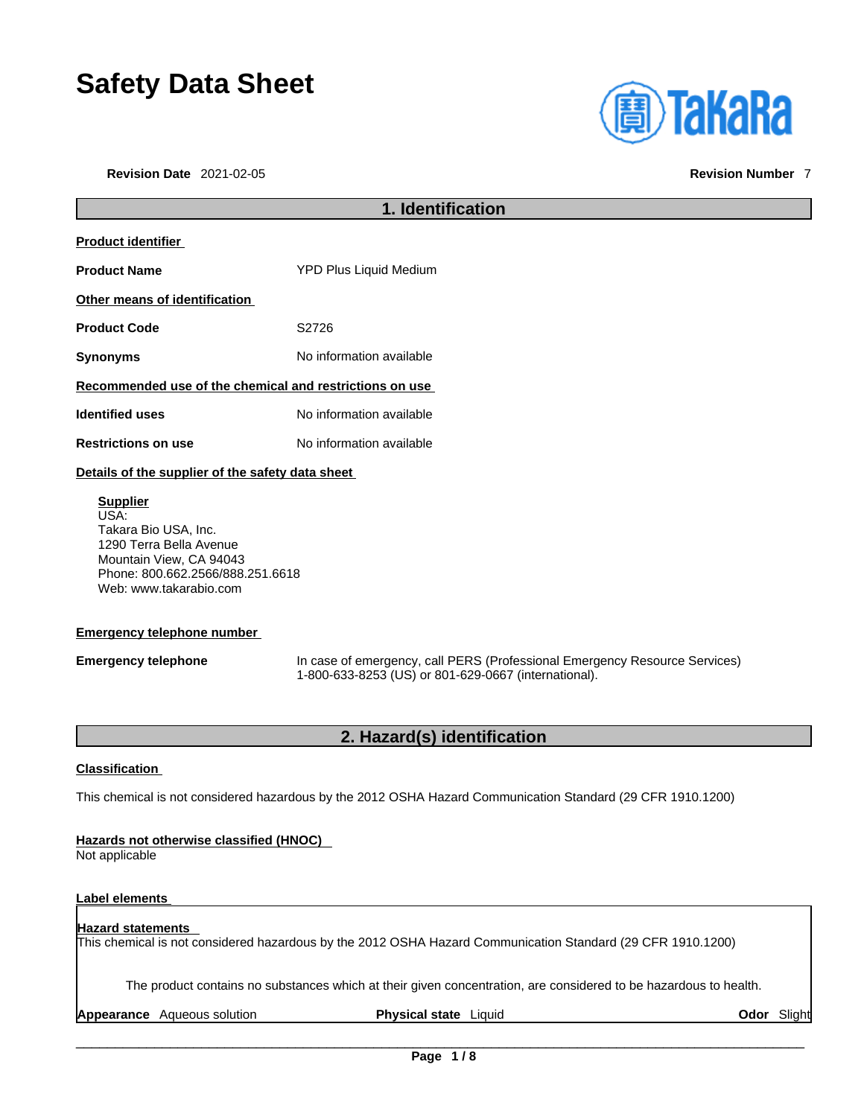# **Safety Data Sheet**

**Revision Date** 2021-02-05 **Revision Number** 7



# **1. Identification Product identifier Product Name** YPD Plus Liquid Medium **Other means of identification** Product Code **S2726 Synonyms** No information available **Recommended use of the chemical and restrictions on use Identified uses** No information available **Restrictions on use** No information available **Details of the supplier of the safety data sheet Supplier** USA: Takara Bio USA, Inc.

1290 Terra Bella Avenue Mountain View, CA 94043 Phone: 800.662.2566/888.251.6618 Web: www.takarabio.com

# **Emergency telephone number**

**Emergency telephone** In case of emergency, call PERS (Professional Emergency Resource Services) 1-800-633-8253 (US) or 801-629-0667 (international).

# **2. Hazard(s) identification**

# **Classification**

This chemical is not considered hazardous by the 2012 OSHA Hazard Communication Standard (29 CFR 1910.1200)

# **Hazards not otherwise classified (HNOC)**

Not applicable

# **Label elements**

# **Hazard statements**

This chemical is not considered hazardous by the 2012 OSHA Hazard Communication Standard (29 CFR 1910.1200)

The product contains no substances which at their given concentration, are considered to be hazardous to health.

**Appearance** Aqueous solution **Physical state** Liquid **Odor** Slight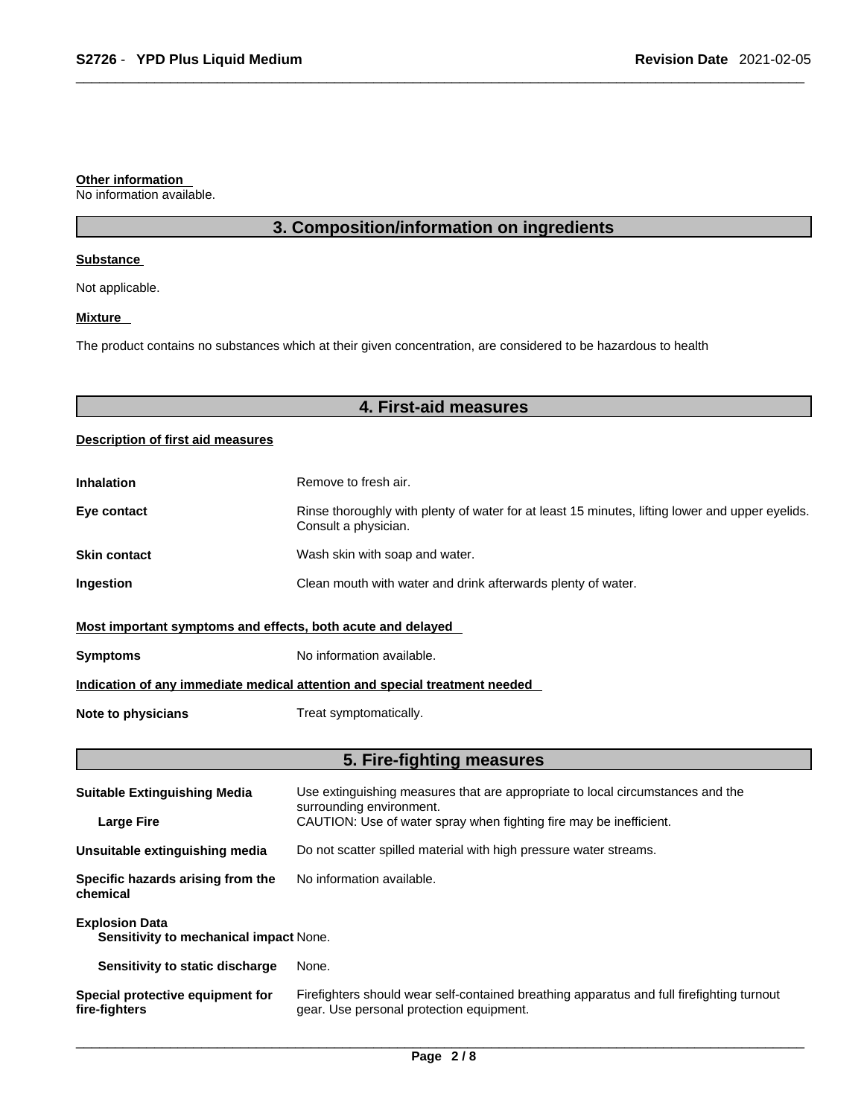# **Other information**

No information available.

# **3. Composition/information on ingredients**

## **Substance**

Not applicable.

# **Mixture**

The product contains no substances which at their given concentration, are considered to be hazardous to health

# **4. First-aid measures**

# **Description of first aid measures**

| <b>Inhalation</b>                                                          | Remove to fresh air.                                                                                                    |  |
|----------------------------------------------------------------------------|-------------------------------------------------------------------------------------------------------------------------|--|
| Eye contact                                                                | Rinse thoroughly with plenty of water for at least 15 minutes, lifting lower and upper eyelids.<br>Consult a physician. |  |
| <b>Skin contact</b>                                                        | Wash skin with soap and water.                                                                                          |  |
| Ingestion                                                                  | Clean mouth with water and drink afterwards plenty of water.                                                            |  |
| Most important symptoms and effects, both acute and delayed                |                                                                                                                         |  |
| <b>Symptoms</b>                                                            | No information available.                                                                                               |  |
| Indication of any immediate medical attention and special treatment needed |                                                                                                                         |  |
| Note to physicians                                                         | Treat symptomatically.                                                                                                  |  |

# **5. Fire-fighting measures**

| <b>Suitable Extinguishing Media</b>                             | Use extinguishing measures that are appropriate to local circumstances and the<br>surrounding environment.                            |  |
|-----------------------------------------------------------------|---------------------------------------------------------------------------------------------------------------------------------------|--|
| <b>Large Fire</b>                                               | CAUTION: Use of water spray when fighting fire may be inefficient.                                                                    |  |
| Unsuitable extinguishing media                                  | Do not scatter spilled material with high pressure water streams.                                                                     |  |
| Specific hazards arising from the<br>chemical                   | No information available.                                                                                                             |  |
| <b>Explosion Data</b><br>Sensitivity to mechanical impact None. |                                                                                                                                       |  |
| Sensitivity to static discharge                                 | None.                                                                                                                                 |  |
| Special protective equipment for<br>fire-fighters               | Firefighters should wear self-contained breathing apparatus and full firefighting turnout<br>gear. Use personal protection equipment. |  |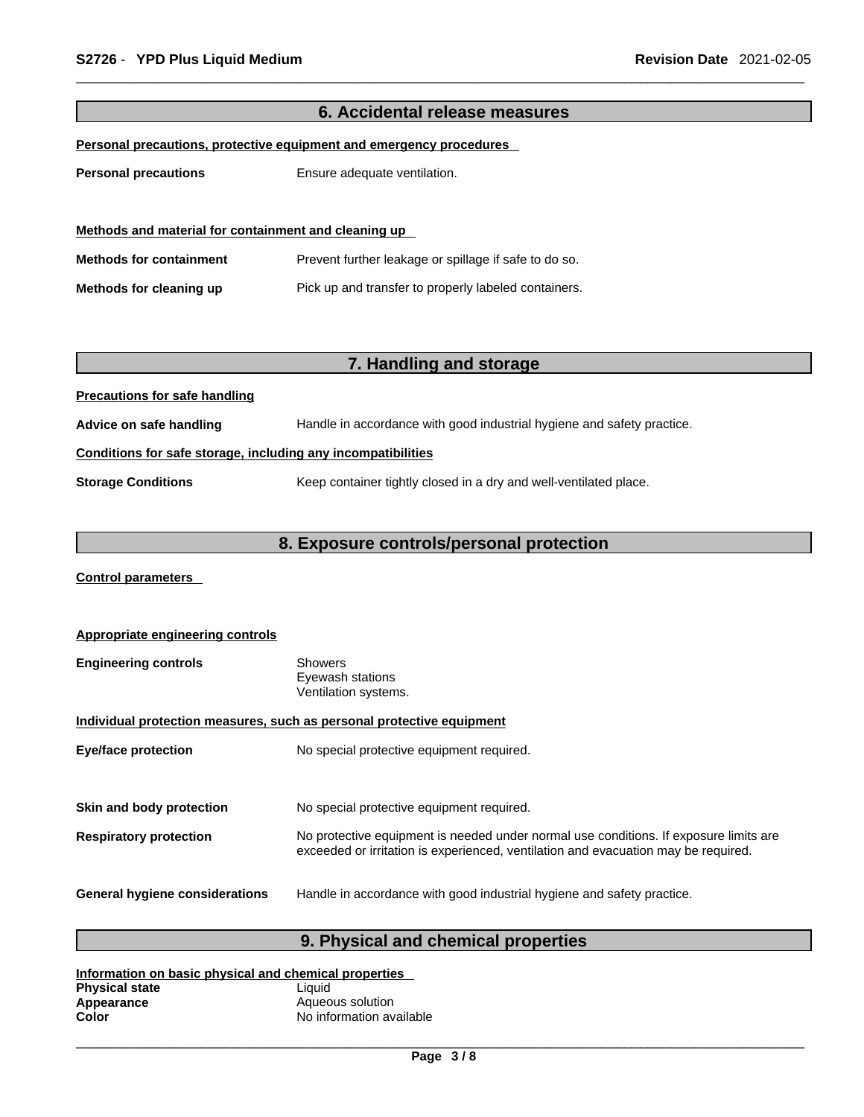|                                                              | 6. Accidental release measures                                         |  |  |
|--------------------------------------------------------------|------------------------------------------------------------------------|--|--|
|                                                              | Personal precautions, protective equipment and emergency procedures    |  |  |
|                                                              |                                                                        |  |  |
| <b>Personal precautions</b>                                  | Ensure adequate ventilation.                                           |  |  |
|                                                              |                                                                        |  |  |
| Methods and material for containment and cleaning up         |                                                                        |  |  |
| <b>Methods for containment</b>                               | Prevent further leakage or spillage if safe to do so.                  |  |  |
| Methods for cleaning up                                      | Pick up and transfer to properly labeled containers.                   |  |  |
|                                                              |                                                                        |  |  |
|                                                              |                                                                        |  |  |
|                                                              | 7. Handling and storage                                                |  |  |
| <b>Precautions for safe handling</b>                         |                                                                        |  |  |
| Advice on safe handling                                      | Handle in accordance with good industrial hygiene and safety practice. |  |  |
| Conditions for safe storage, including any incompatibilities |                                                                        |  |  |
| <b>Storage Conditions</b>                                    | Keep container tightly closed in a dry and well-ventilated place.      |  |  |
|                                                              |                                                                        |  |  |
|                                                              | 8. Exposure controls/personal protection                               |  |  |

**Control parameters** 

| <b>Appropriate engineering controls</b>                               |                                                                                                                                                                             |  |
|-----------------------------------------------------------------------|-----------------------------------------------------------------------------------------------------------------------------------------------------------------------------|--|
| <b>Engineering controls</b>                                           | <b>Showers</b><br>Eyewash stations<br>Ventilation systems.                                                                                                                  |  |
| Individual protection measures, such as personal protective equipment |                                                                                                                                                                             |  |
| <b>Eye/face protection</b>                                            | No special protective equipment required.                                                                                                                                   |  |
|                                                                       |                                                                                                                                                                             |  |
| Skin and body protection                                              | No special protective equipment required.                                                                                                                                   |  |
| <b>Respiratory protection</b>                                         | No protective equipment is needed under normal use conditions. If exposure limits are<br>exceeded or irritation is experienced, ventilation and evacuation may be required. |  |
| <b>General hygiene considerations</b>                                 | Handle in accordance with good industrial hygiene and safety practice.                                                                                                      |  |

# **9. Physical and chemical properties**

| Information on basic physical and chemical properties |                          |  |
|-------------------------------------------------------|--------------------------|--|
| <b>Physical state</b>                                 | Liauid                   |  |
| Appearance                                            | Aqueous solution         |  |
| Color                                                 | No information available |  |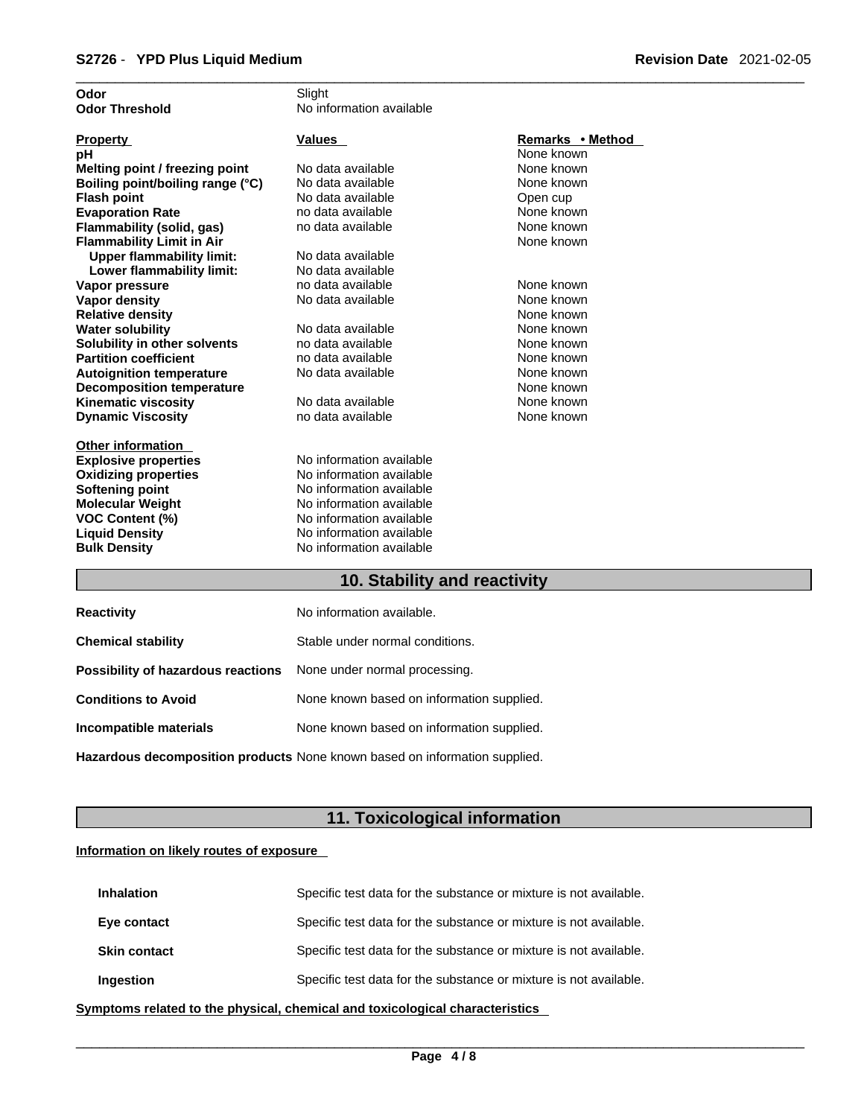| Odor                             | Slight                   |                  |
|----------------------------------|--------------------------|------------------|
| <b>Odor Threshold</b>            | No information available |                  |
|                                  |                          |                  |
| <b>Property</b>                  | <b>Values</b>            | Remarks • Method |
| рH                               |                          | None known       |
| Melting point / freezing point   | No data available        | None known       |
| Boiling point/boiling range (°C) | No data available        | None known       |
| <b>Flash point</b>               | No data available        | Open cup         |
| <b>Evaporation Rate</b>          | no data available        | None known       |
| Flammability (solid, gas)        | no data available        | None known       |
| <b>Flammability Limit in Air</b> |                          | None known       |
| <b>Upper flammability limit:</b> | No data available        |                  |
| Lower flammability limit:        | No data available        |                  |
| Vapor pressure                   | no data available        | None known       |
| <b>Vapor density</b>             | No data available        | None known       |
| <b>Relative density</b>          |                          | None known       |
| <b>Water solubility</b>          | No data available        | None known       |
| Solubility in other solvents     | no data available        | None known       |
| <b>Partition coefficient</b>     | no data available        | None known       |
| <b>Autoignition temperature</b>  | No data available        | None known       |
| <b>Decomposition temperature</b> |                          | None known       |
| <b>Kinematic viscosity</b>       | No data available        | None known       |
| <b>Dynamic Viscosity</b>         | no data available        | None known       |
|                                  |                          |                  |
| <b>Other information</b>         |                          |                  |
| <b>Explosive properties</b>      | No information available |                  |
| <b>Oxidizing properties</b>      | No information available |                  |
| <b>Softening point</b>           | No information available |                  |
| <b>Molecular Weight</b>          | No information available |                  |
| <b>VOC Content (%)</b>           | No information available |                  |
| <b>Liquid Density</b>            | No information available |                  |
| <b>Bulk Density</b>              | No information available |                  |
|                                  |                          |                  |
|                                  |                          |                  |

# **10. Stability and reactivity 10. Stability and reactivity**

| <b>Reactivity</b>                                                       | No information available.                 |
|-------------------------------------------------------------------------|-------------------------------------------|
| <b>Chemical stability</b>                                               | Stable under normal conditions.           |
| <b>Possibility of hazardous reactions</b> None under normal processing. |                                           |
| <b>Conditions to Avoid</b>                                              | None known based on information supplied. |
| Incompatible materials                                                  | None known based on information supplied. |
|                                                                         |                                           |

**Hazardous decomposition products** None known based on information supplied.

# **11. Toxicological information**

# **Information on likely routes of exposure**

| <b>Inhalation</b>   | Specific test data for the substance or mixture is not available. |
|---------------------|-------------------------------------------------------------------|
| Eye contact         | Specific test data for the substance or mixture is not available. |
| <b>Skin contact</b> | Specific test data for the substance or mixture is not available. |
| Ingestion           | Specific test data for the substance or mixture is not available. |

**<u>Symptoms related to the physical, chemical and toxicological characteristics</u>**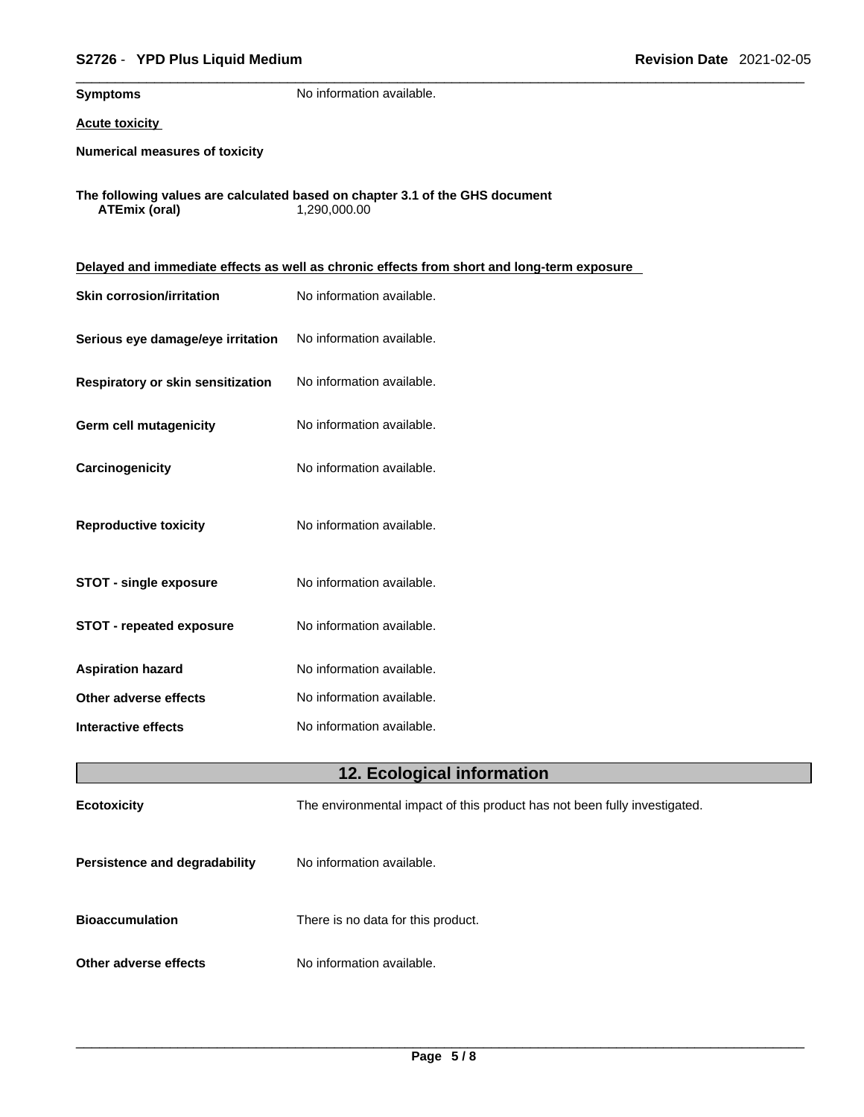| S2726 - YPD Plus Liquid Medium<br><b>Revision Date 2021-02-05</b> |                                                                                              |  |  |
|-------------------------------------------------------------------|----------------------------------------------------------------------------------------------|--|--|
| <b>Symptoms</b>                                                   | No information available.                                                                    |  |  |
| <b>Acute toxicity</b>                                             |                                                                                              |  |  |
| <b>Numerical measures of toxicity</b>                             |                                                                                              |  |  |
| <b>ATEmix (oral)</b>                                              | The following values are calculated based on chapter 3.1 of the GHS document<br>1,290,000.00 |  |  |
|                                                                   | Delayed and immediate effects as well as chronic effects from short and long-term exposure   |  |  |
| <b>Skin corrosion/irritation</b>                                  | No information available.                                                                    |  |  |
| Serious eye damage/eye irritation                                 | No information available.                                                                    |  |  |
| Respiratory or skin sensitization                                 | No information available.                                                                    |  |  |
| <b>Germ cell mutagenicity</b>                                     | No information available.                                                                    |  |  |
| Carcinogenicity                                                   | No information available.                                                                    |  |  |
| <b>Reproductive toxicity</b>                                      | No information available.                                                                    |  |  |
| <b>STOT - single exposure</b>                                     | No information available.                                                                    |  |  |
| <b>STOT - repeated exposure</b>                                   | No information available.                                                                    |  |  |
| <b>Aspiration hazard</b>                                          | No information available.                                                                    |  |  |
| Other adverse effects                                             | No information available.                                                                    |  |  |
| <b>Interactive effects</b>                                        | No information available.                                                                    |  |  |
|                                                                   | 12. Ecological information                                                                   |  |  |
| <b>Ecotoxicity</b>                                                | The environmental impact of this product has not been fully investigated.                    |  |  |
| Persistence and degradability                                     | No information available.                                                                    |  |  |
| <b>Bioaccumulation</b>                                            | There is no data for this product.                                                           |  |  |
| Other adverse effects                                             | No information available.                                                                    |  |  |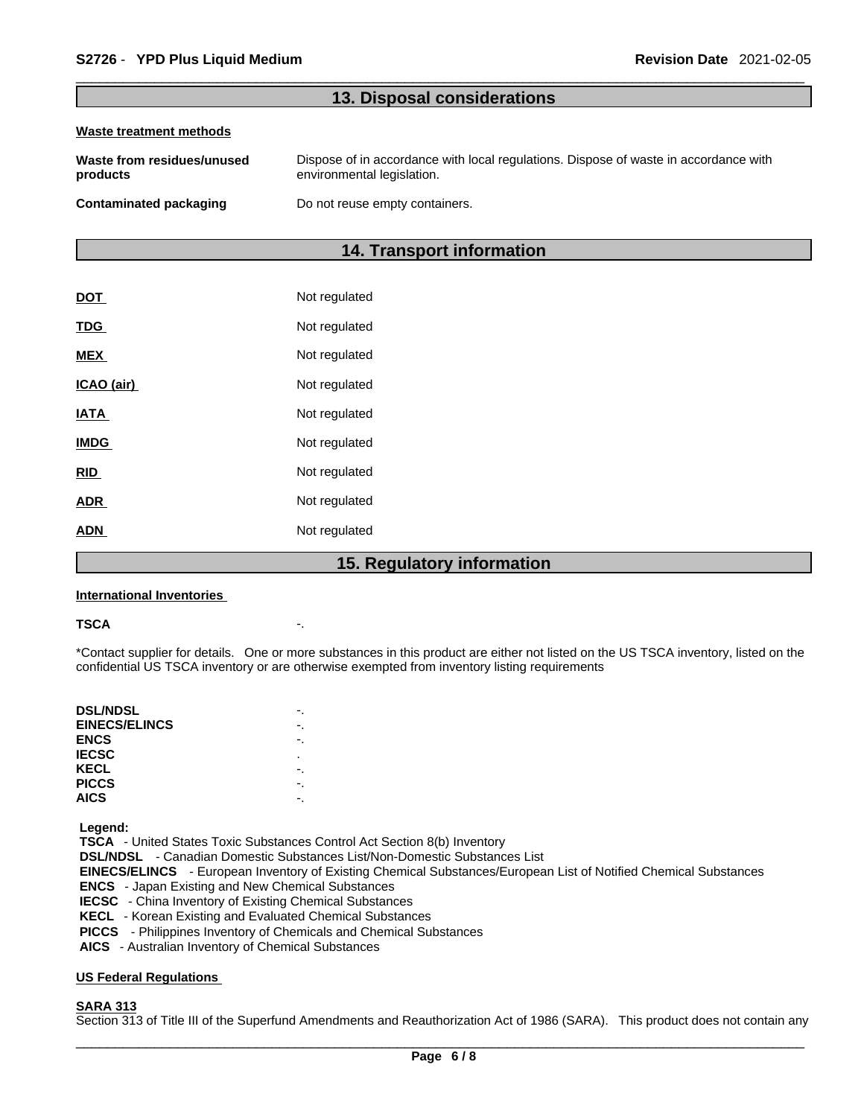# **13. Disposal considerations**

#### **Waste treatment methods**

| Waste from residues/unused | Dispose of in accordance with local regulations. Dispose of waste in accordance with |
|----------------------------|--------------------------------------------------------------------------------------|
| products                   | environmental legislation.                                                           |
| Contaminated packaging     | Do not reuse empty containers.                                                       |

# **14. Transport information**

| DOT         | Not regulated |
|-------------|---------------|
| <b>TDG</b>  | Not regulated |
| <b>MEX</b>  | Not regulated |
| ICAO (air)  | Not regulated |
| <b>IATA</b> | Not regulated |
| <b>IMDG</b> | Not regulated |
| <b>RID</b>  | Not regulated |
| <b>ADR</b>  | Not regulated |
| <b>ADN</b>  | Not regulated |
|             |               |

# **15. Regulatory information**

#### **International Inventories**

### **TSCA** -.

\*Contact supplier for details. One or more substances in this product are either not listed on the US TSCA inventory, listed on the confidential US TSCA inventory or are otherwise exempted from inventory listing requirements

| <b>DSL/NDSL</b>      |    |
|----------------------|----|
| <b>EINECS/ELINCS</b> | -. |
| <b>ENCS</b>          | ٠. |
| <b>IECSC</b>         | ٠  |
| KECL                 |    |
| <b>PICCS</b>         |    |
| <b>AICS</b>          |    |
|                      |    |

 **Legend:** 

 **TSCA** - United States Toxic Substances Control Act Section 8(b) Inventory

 **DSL/NDSL** - Canadian Domestic Substances List/Non-Domestic Substances List

- **EINECS/ELINCS**  European Inventory of Existing Chemical Substances/European List of Notified Chemical Substances
- **ENCS**  Japan Existing and New Chemical Substances
- **IECSC**  China Inventory of Existing Chemical Substances
- **KECL**  Korean Existing and Evaluated Chemical Substances
- **PICCS**  Philippines Inventory of Chemicals and Chemical Substances
- **AICS**  Australian Inventory of Chemical Substances

# **US Federal Regulations**

# **SARA 313**

Section 313 of Title III of the Superfund Amendments and Reauthorization Act of 1986 (SARA). This product does not contain any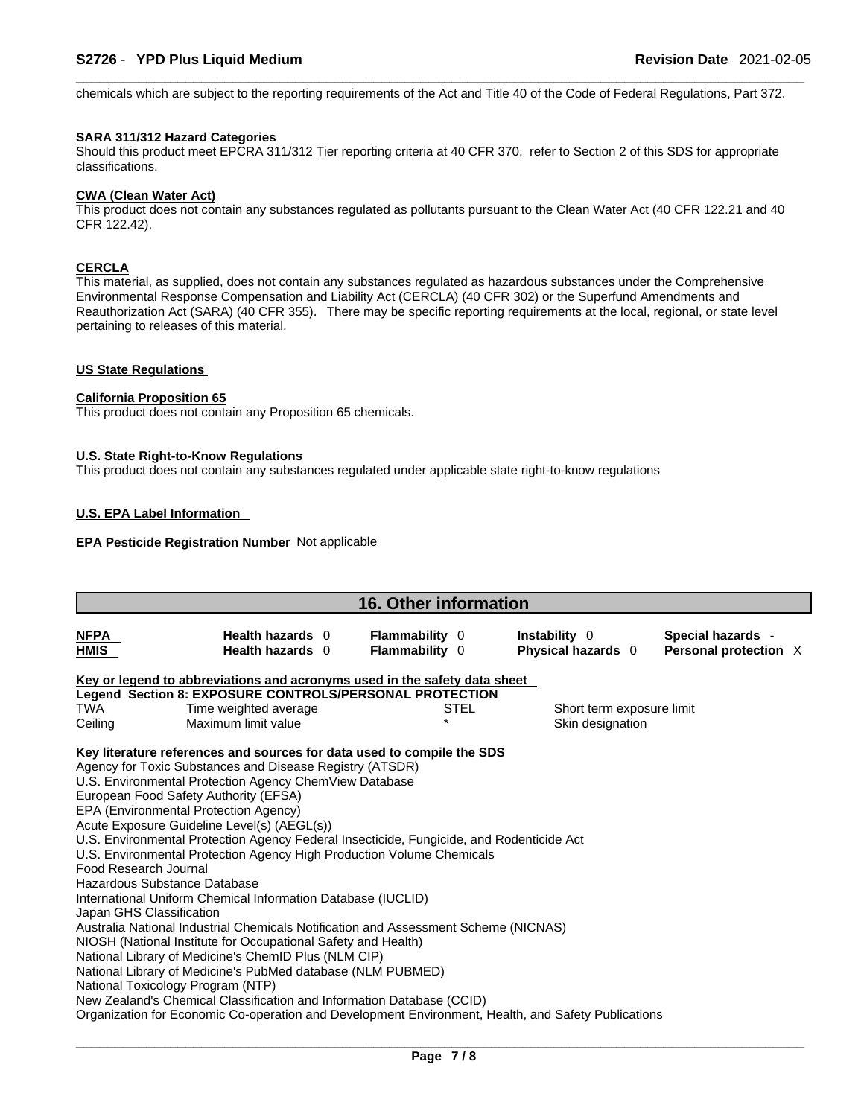chemicals which are subject to the reporting requirements of the Act and Title 40 of the Code of Federal Regulations, Part 372.

### **SARA 311/312 Hazard Categories**

Should this product meet EPCRA 311/312 Tier reporting criteria at 40 CFR 370, refer to Section 2 of this SDS for appropriate classifications.

# **CWA** (Clean Water Act)

This product does not contain any substances regulated as pollutants pursuant to the Clean Water Act (40 CFR 122.21 and 40 CFR 122.42).

# **CERCLA**

This material, as supplied, does not contain any substances regulated as hazardous substances under the Comprehensive Environmental Response Compensation and Liability Act (CERCLA) (40 CFR 302) or the Superfund Amendments and Reauthorization Act (SARA) (40 CFR 355). There may be specific reporting requirements at the local, regional, or state level pertaining to releases of this material.

# **US State Regulations**

# **California Proposition 65**

This product does not contain any Proposition 65 chemicals.

### **U.S. State Right-to-Know Regulations**

This product does not contain any substances regulated under applicable state right-to-know regulations

## **U.S. EPA Label Information**

# **EPA Pesticide Registration Number** Not applicable

| <b>16. Other information</b>                      |                                                                                                                                                                                                                                                                                                                                                                                                                                                                                                                                                                                                                                                                                                                                                                                                                                                                                                                                                                                                                                                                                                        |                                                |             |                                            |  |                                            |  |  |
|---------------------------------------------------|--------------------------------------------------------------------------------------------------------------------------------------------------------------------------------------------------------------------------------------------------------------------------------------------------------------------------------------------------------------------------------------------------------------------------------------------------------------------------------------------------------------------------------------------------------------------------------------------------------------------------------------------------------------------------------------------------------------------------------------------------------------------------------------------------------------------------------------------------------------------------------------------------------------------------------------------------------------------------------------------------------------------------------------------------------------------------------------------------------|------------------------------------------------|-------------|--------------------------------------------|--|--------------------------------------------|--|--|
| <b>NFPA</b><br><b>HMIS</b>                        | Health hazards 0<br>Health hazards 0                                                                                                                                                                                                                                                                                                                                                                                                                                                                                                                                                                                                                                                                                                                                                                                                                                                                                                                                                                                                                                                                   | <b>Flammability</b> 0<br><b>Flammability 0</b> |             | Instability 0<br><b>Physical hazards</b> 0 |  | Special hazards -<br>Personal protection X |  |  |
|                                                   | Key or legend to abbreviations and acronyms used in the safety data sheet                                                                                                                                                                                                                                                                                                                                                                                                                                                                                                                                                                                                                                                                                                                                                                                                                                                                                                                                                                                                                              |                                                |             |                                            |  |                                            |  |  |
|                                                   | Legend Section 8: EXPOSURE CONTROLS/PERSONAL PROTECTION                                                                                                                                                                                                                                                                                                                                                                                                                                                                                                                                                                                                                                                                                                                                                                                                                                                                                                                                                                                                                                                |                                                |             |                                            |  |                                            |  |  |
| <b>TWA</b>                                        | Time weighted average                                                                                                                                                                                                                                                                                                                                                                                                                                                                                                                                                                                                                                                                                                                                                                                                                                                                                                                                                                                                                                                                                  |                                                | <b>STEL</b> | Short term exposure limit                  |  |                                            |  |  |
| Ceiling                                           | Maximum limit value                                                                                                                                                                                                                                                                                                                                                                                                                                                                                                                                                                                                                                                                                                                                                                                                                                                                                                                                                                                                                                                                                    |                                                |             | Skin designation                           |  |                                            |  |  |
| Food Research Journal<br>Japan GHS Classification | Key literature references and sources for data used to compile the SDS<br>Agency for Toxic Substances and Disease Registry (ATSDR)<br>U.S. Environmental Protection Agency ChemView Database<br>European Food Safety Authority (EFSA)<br>EPA (Environmental Protection Agency)<br>Acute Exposure Guideline Level(s) (AEGL(s))<br>U.S. Environmental Protection Agency Federal Insecticide, Fungicide, and Rodenticide Act<br>U.S. Environmental Protection Agency High Production Volume Chemicals<br>Hazardous Substance Database<br>International Uniform Chemical Information Database (IUCLID)<br>Australia National Industrial Chemicals Notification and Assessment Scheme (NICNAS)<br>NIOSH (National Institute for Occupational Safety and Health)<br>National Library of Medicine's ChemID Plus (NLM CIP)<br>National Library of Medicine's PubMed database (NLM PUBMED)<br>National Toxicology Program (NTP)<br>New Zealand's Chemical Classification and Information Database (CCID)<br>Organization for Economic Co-operation and Development Environment, Health, and Safety Publications |                                                |             |                                            |  |                                            |  |  |